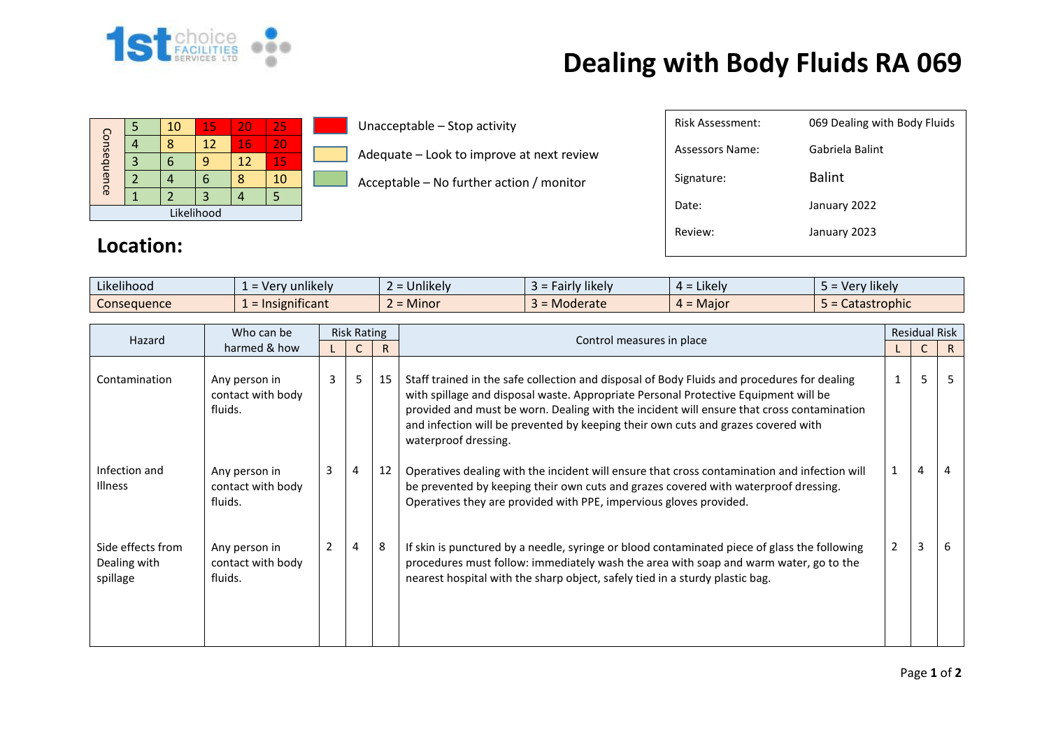

## **Dealing with Body Fluids RA 069**

|             |  | 10 | 15 | 20 | 25 |  |  |
|-------------|--|----|----|----|----|--|--|
| Consequence |  |    | 12 | 16 | 20 |  |  |
|             |  |    | 9  | 12 | 15 |  |  |
|             |  |    | 6  |    | 10 |  |  |
|             |  |    |    |    |    |  |  |
| Likelihood  |  |    |    |    |    |  |  |

Unacceptable – Stop activity

Adequate – Look to improve at next review

Acceptable – No further action / monitor

| Risk Assessment: | 069 Dealing with Body Fluids |
|------------------|------------------------------|
| Assessors Name:  | Gabriela Balint              |
| Signature:       | <b>Balint</b>                |
| Date:            | January 2022                 |
| Review:          | January 2023                 |
|                  |                              |

## **Location:**

| $-1.1 -$<br>$\cdots$<br>Likelihood | sunlikely<br>$\textcolor{red}{\textbf{1}}$ = Verv | $\cdots$<br>Unlikely | $\cdots$<br>likelv<br>-airlv | ∠ikelv i<br>$4 =$                 | $\cdots$<br>Very likely<br>$-$ |
|------------------------------------|---------------------------------------------------|----------------------|------------------------------|-----------------------------------|--------------------------------|
| <b>Consequence</b>                 | $\sim$ $\sim$<br>$=$ Insignificant                | Minor                | = Moderate                   | Major<br>$\overline{\phantom{0}}$ | Catastrophic                   |

| Hazard                                        | Who can be                                    | <b>Risk Rating</b> |   |    |                                                                                                                                                                                                                                                                                                                                                                                              | <b>Residual Risk</b> |   |    |
|-----------------------------------------------|-----------------------------------------------|--------------------|---|----|----------------------------------------------------------------------------------------------------------------------------------------------------------------------------------------------------------------------------------------------------------------------------------------------------------------------------------------------------------------------------------------------|----------------------|---|----|
|                                               | harmed & how                                  |                    |   | R  | Control measures in place                                                                                                                                                                                                                                                                                                                                                                    |                      |   | R. |
| Contamination                                 | Any person in<br>contact with body<br>fluids. | 3                  | 5 | 15 | Staff trained in the safe collection and disposal of Body Fluids and procedures for dealing<br>with spillage and disposal waste. Appropriate Personal Protective Equipment will be<br>provided and must be worn. Dealing with the incident will ensure that cross contamination<br>and infection will be prevented by keeping their own cuts and grazes covered with<br>waterproof dressing. |                      | 5 |    |
| Infection and<br><b>Illness</b>               | Any person in<br>contact with body<br>fluids. | 3                  | 4 | 12 | Operatives dealing with the incident will ensure that cross contamination and infection will<br>be prevented by keeping their own cuts and grazes covered with waterproof dressing.<br>Operatives they are provided with PPE, impervious gloves provided.                                                                                                                                    |                      | 4 | 4  |
| Side effects from<br>Dealing with<br>spillage | Any person in<br>contact with body<br>fluids. | 2                  | 4 | 8  | If skin is punctured by a needle, syringe or blood contaminated piece of glass the following<br>procedures must follow: immediately wash the area with soap and warm water, go to the<br>nearest hospital with the sharp object, safely tied in a sturdy plastic bag.                                                                                                                        | 2                    | 3 | 6  |